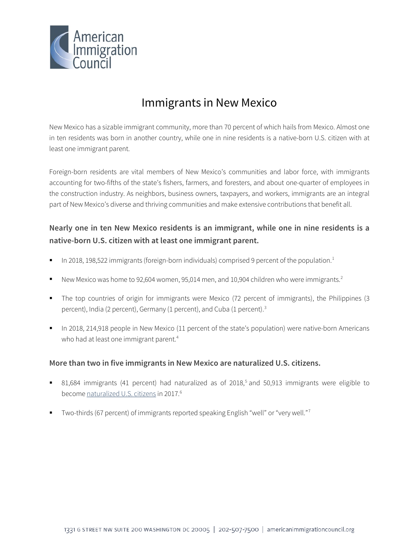

# Immigrants in New Mexico

New Mexico has a sizable immigrant community, more than 70 percent of which hails from Mexico. Almost one in ten residents was born in another country, while one in nine residents is a native-born U.S. citizen with at least one immigrant parent.

Foreign-born residents are vital members of New Mexico's communities and labor force, with immigrants accounting for two-fifths of the state's fishers, farmers, and foresters, and about one-quarter of employees in the construction industry. As neighbors, business owners, taxpayers, and workers, immigrants are an integral part of New Mexico's diverse and thriving communities and make extensive contributions that benefit all.

## **Nearly one in ten New Mexico residents is an immigrant, while one in nine residents is a native-born U.S. citizen with at least one immigrant parent.**

- In 20[1](#page-4-0)8, 198,522 immigrants (foreign-born individuals) comprised 9 percent of the population.<sup>1</sup>
- New Mexico was home to 9[2](#page-4-1),604 women, 95,014 men, and 10,904 children who were immigrants.<sup>2</sup>
- The top countries of origin for immigrants were Mexico (72 percent of immigrants), the Philippines (3 percent), India (2 percent), Germany (1 percent), and Cuba (1 percent).<sup>[3](#page-4-2)</sup>
- In 2018, 214,918 people in New Mexico (11 percent of the state's population) were native-born Americans who had at least one immigrant parent.<sup>[4](#page-4-3)</sup>

#### **More than two in five immigrants in New Mexico are naturalized U.S. citizens.**

- 81,684 immigrants (41 percent) had naturalized as of 2018,<sup>[5](#page-4-4)</sup> and 50,913 immigrants were eligible to become [naturalized U.S. citizens](http://data.cmsny.org/state.html) in 2017.<sup>[6](#page-4-5)</sup>
- Two-thirds (6[7](#page-4-6) percent) of immigrants reported speaking English "well" or "very well."<sup>7</sup>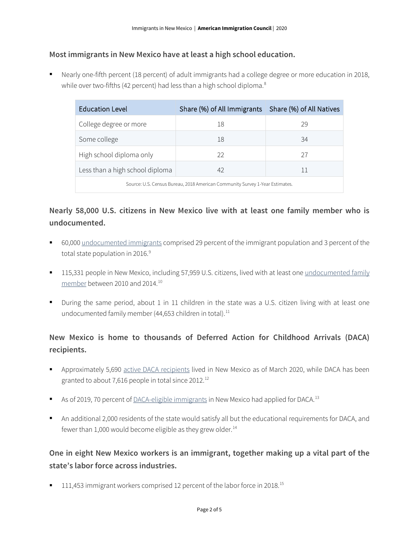#### **Most immigrants in New Mexico have at least a high school education.**

 Nearly one-fifth percent (18 percent) of adult immigrants had a college degree or more education in 2018, while over two-fifths (42 percent) had less than a high school diploma.<sup>[8](#page-4-7)</sup>

| <b>Education Level</b>                                                       | Share (%) of All Immigrants   Share (%) of All Natives |    |  |  |
|------------------------------------------------------------------------------|--------------------------------------------------------|----|--|--|
| College degree or more                                                       | 18                                                     | 29 |  |  |
| Some college                                                                 | 18                                                     | 34 |  |  |
| High school diploma only                                                     | 22                                                     | 27 |  |  |
| Less than a high school diploma                                              | 42                                                     | 11 |  |  |
| Source: U.S. Census Bureau, 2018 American Community Survey 1-Year Estimates. |                                                        |    |  |  |

## **Nearly 58,000 U.S. citizens in New Mexico live with at least one family member who is undocumented.**

- 60,000 [undocumented immigrants](http://www.pewhispanic.org/interactives/unauthorized-immigrants/) comprised 29 percent of the immigrant population and 3 percent of the total state population in 2016.<sup>[9](#page-4-8)</sup>
- **115,331 people in New Mexico, including 57,959 U.S. citizens, lived with at least one undocumented family** [member](https://www.americanprogress.org/issues/immigration/news/2017/03/16/427868/state-state-estimates-family-members-unauthorized-immigrants/) between 2010 and 2014.[10](#page-4-9)
- During the same period, about 1 in 11 children in the state was a U.S. citizen living with at least one undocumented family member (44,653 children in total).<sup>[11](#page-4-10)</sup>

## **New Mexico is home to thousands of Deferred Action for Childhood Arrivals (DACA) recipients.**

- Approximately 5,690 [active DACA](https://www.uscis.gov/sites/default/files/document/data/Approximate%20Active%20DACA%20Receipts%20-%20March%2031%2C%202020.pdf) recipients lived in New Mexico as of March 2020, while DACA has been granted to about 7,616 people in total since 20[12](#page-4-11).<sup>12</sup>
- As of 2019, 70 percent o[f DACA-eligible immigrants](http://www.migrationpolicy.org/programs/data-hub/deferred-action-childhood-arrivals-daca-profiles) in New Mexico had applied for DACA.<sup>[13](#page-4-12)</sup>
- An additional 2,000 residents of the state would satisfy all but the educational requirements for DACA, and fewer than 1,000 would become eligible as they grew older. $14$

## **One in eight New Mexico workers is an immigrant, together making up a vital part of the state's labor force across industries.**

■ 111,453 immigrant workers comprised 12 percent of the labor force in 2018.<sup>[15](#page-4-14)</sup>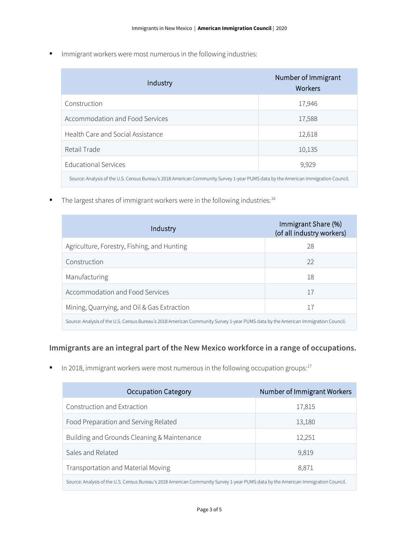**IMMI** Immigrant workers were most numerous in the following industries:

| Industry                                                                                                                          | Number of Immigrant<br><b>Workers</b> |  |
|-----------------------------------------------------------------------------------------------------------------------------------|---------------------------------------|--|
| Construction                                                                                                                      | 17,946                                |  |
| Accommodation and Food Services                                                                                                   | 17,588                                |  |
| Health Care and Social Assistance                                                                                                 | 12,618                                |  |
| Retail Trade                                                                                                                      | 10,135                                |  |
| <b>Educational Services</b>                                                                                                       | 9,929                                 |  |
| Source: Analysis of the U.S. Census Bureau's 2018 American Community Survey 1-year PUMS data by the American Immigration Council. |                                       |  |

 $\blacksquare$  The largest shares of immigrant workers were in the following industries:<sup>16</sup>

| Industry                                                                                                                          | Immigrant Share (%)<br>(of all industry workers) |  |
|-----------------------------------------------------------------------------------------------------------------------------------|--------------------------------------------------|--|
| Agriculture, Forestry, Fishing, and Hunting                                                                                       | 28                                               |  |
| Construction                                                                                                                      | 22                                               |  |
| Manufacturing                                                                                                                     | 18                                               |  |
| Accommodation and Food Services                                                                                                   | 17                                               |  |
| Mining, Quarrying, and Oil & Gas Extraction                                                                                       | 17                                               |  |
| Source: Analysis of the U.S. Census Bureau's 2018 American Community Survey 1-year PUMS data by the American Immigration Council. |                                                  |  |

#### **Immigrants are an integral part of the New Mexico workforce in a range of occupations.**

In 2018, immigrant workers were most numerous in the following occupation groups: $17$ 

| <b>Occupation Category</b>                                                                                                        | Number of Immigrant Workers |  |
|-----------------------------------------------------------------------------------------------------------------------------------|-----------------------------|--|
| Construction and Extraction                                                                                                       | 17,815                      |  |
| Food Preparation and Serving Related                                                                                              | 13,180                      |  |
| Building and Grounds Cleaning & Maintenance                                                                                       | 12,251                      |  |
| Sales and Related                                                                                                                 | 9,819                       |  |
| Transportation and Material Moving                                                                                                | 8,871                       |  |
| Source: Analysis of the U.S. Census Bureau's 2018 American Community Survey 1-year PUMS data by the American Immigration Council. |                             |  |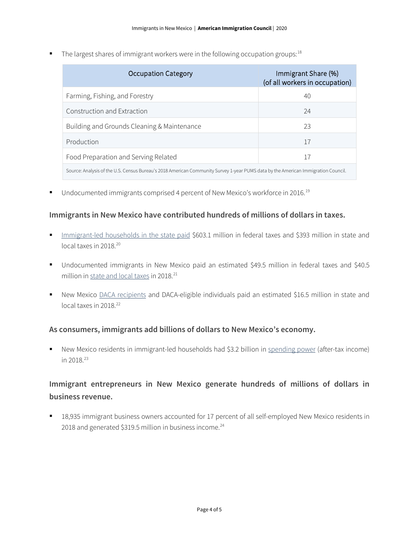The largest shares of immigrant workers were in the following occupation groups:  $18$ 

| Occupation Category                                                                                                               | Immigrant Share (%)<br>(of all workers in occupation) |  |
|-----------------------------------------------------------------------------------------------------------------------------------|-------------------------------------------------------|--|
| Farming, Fishing, and Forestry                                                                                                    | 40                                                    |  |
| Construction and Extraction                                                                                                       | 24                                                    |  |
| Building and Grounds Cleaning & Maintenance                                                                                       | 23                                                    |  |
| Production                                                                                                                        | 17                                                    |  |
| Food Preparation and Serving Related                                                                                              | 17                                                    |  |
| Source: Analysis of the U.S. Census Bureau's 2018 American Community Survey 1-year PUMS data by the American Immigration Council. |                                                       |  |

Undocumented immigrants comprised 4 percent of New Mexico's workforce in 2016.<sup>[19](#page-4-18)</sup>

#### **Immigrants in New Mexico have contributed hundreds of millions of dollars in taxes.**

- [Immigrant-led households in the state paid](https://www.newamericaneconomy.org/locations/) \$603.1 million in federal taxes and \$393 million in state and local taxes in [20](#page-4-19)18.<sup>20</sup>
- Undocumented immigrants in New Mexico paid an estimated \$49.5 million in federal taxes and \$40.5 million i[n state and local taxes](https://www.newamericaneconomy.org/locations/) in 2018.<sup>[21](#page-4-20)</sup>
- New Mexico [DACA recipients](https://itep.org/state-local-tax-contributions-of-young-undocumented-immigrants/) and DACA-eligible individuals paid an estimated \$16.5 million in state and local taxes in 2018.<sup>[22](#page-4-21)</sup>

#### **As consumers, immigrants add billions of dollars to New Mexico's economy.**

 New Mexico residents in immigrant-led households had \$3.2 billion in [spending power](https://www.newamericaneconomy.org/locations/) (after-tax income) in 2018.[23](#page-4-22)

## **Immigrant entrepreneurs in New Mexico generate hundreds of millions of dollars in business revenue.**

 18,935 immigrant business owners accounted for 17 percent of all self-employed New Mexico residents in 2018 and generated \$319.5 million in business income.<sup>[24](#page-4-23)</sup>